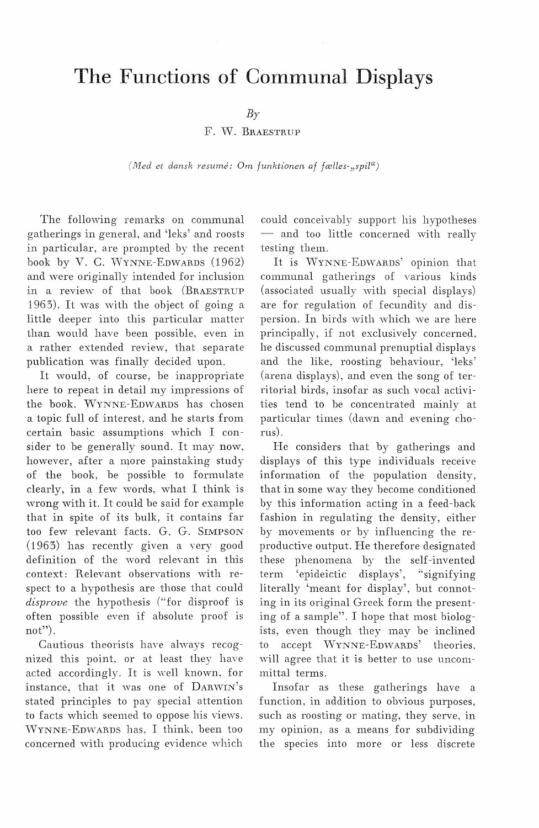# **The Functions of Communal Displays**

 $B_Y$ 

F. vv. BRAESTRUP

*(i11ed et dansk resume: Om funktionen af fælles-:,spil")* 

The following remarks on communal gatherings in general, and 'leks' and roosts in particular, are prompted by the recent book by V. C. WYNNE-EDWARDS (1962) and were originally intended for inclusion in a review of that book (BRAESTRUP 1963). It was with the object of going a little deeper into this particular matter than would have been possible, even in a rather extended review, that separate publication was finally decided upon.

It would, of course, be inappropriate here to repeat in detail my impressions of the book. WYNNE-EDWARDS has chosen a topic full of interest, and he starts from certain basic assumptions which I consider to be generally sound. It may now, however, after a more painstaking study of the book, be possible to formulate clearly, in a few words, what I think is wrong with it. It could be said for example that in spite of its bulk, it contains far too few relevant facts. G. G. SIMPSON (1963) has recently given a very good definition of the word relevant in this context: Relevant observations with respect to a hypothesis are those that could disprove the hypothesis ("for disproof is often possible even if absolute proof is not").

Cautious theorists have ahvays recognized this point, or at least they have acted accordingly. It is well known, for instance, that it was one of DARWIN's stated principles to pay special attention to facts which seemed to oppose his views. \VYNNE-EDWARDS has, I think, been too concerned with producing evidence which could conceivably support his hypotheses - and too little concerned with really testing them.

It is WYNNE-EDWARDS' opinion that communal gatherings of various kinds (associated usually with special displays) are for regulation of fecundity and dispersion. In birds with which we are here principally, if not exclusively concerned, he discussed communal prenuptial displays and the like, roosting behaviour, 'leks' (arena displays), and even the song of territorial birds, insofar as such vocal activities tend to be concentrated mainly at particular times (dawn and evening chorus).

He considers that by gatherings and displays of this type individuals receive information of the population density, that in some way they become conditioned by this information acting in a feed-back fashion in regulating the density, either by movements or by influencing the reproductive output. He therefore designated these phenomena by the self-invented term 'epideictic displays', "signifying literally 'meant for display', but connoting in its original Greek form the presenting of a sample". I hope that most biologists, even though they may be inclined to accept VVYNNE-EDWARDS' theories, will agree that it is better to use uncommittal terms.

Insofar as these gatherings have a function, in addition to obvious purposes, such as roosting or mating, they serve, in my opinion, as a means for subdividing the species into more or less discrete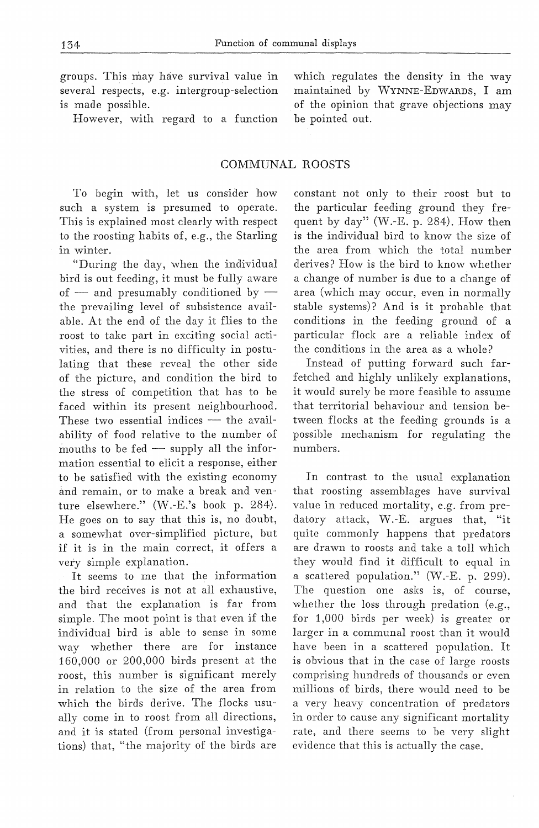groups. This may have survival value in several respects, e.g. intergroup-selection is made possible.

However, with regard to a function

# COMMUNAL ROOSTS

To begin with, let us consider how such a system is presumed to operate. This is explained most clearly with respect to the roosting habits of, e.g., the Starling in winter.

"During the day, when the individual bird is out feeding, it must be fully aware of  $-$  and presumably conditioned by  $$ the prevailing level of subsistence available. At the end of the day it flies to the roost to take part in exciting social activities, and there is no difficulty in postulating that these reveal the other side of the picture, and condition the bird to the stress of competition that has to be faced within its present neighbourhood. These two essential indices  $-$  the availability of food relative to the number of mouths to be  $fed$  - supply all the information essential to elicit a response, either to be satisfied with the existing economy and remain, or to make a break and venture elsewhere." CW.-E.'s book p. 284). He goes on to say that this is, no doubt, a somewhat over-simplified picture, but if it is in the main correct, it offers a very simple explanation.

It seems to me that the information the bird receives is not at all exhaustive, and that the explanation is far from simple. The moot point is that even if the individual bird is able to sense in some way whether there are for instance 160,000 or 200,000 birds present at the roost, this number is significant merely in relation to the size of the area from which the birds derive. The flocks usually come in to roost from all directions, and it is stated (from personal investigations) that, "the majority of the birds are constant not only to their roost but to the particular feeding ground they frequent by day" (W.-E. p. 284). How then is the individual bird to know the size of the area from which the total number derives? How is the bird to know whether a change of number is due to a change of area (which may occur, even in normally stable systems)? And is it probable that conditions in the feeding ground of a particular flock are a reliable index of the conditions in the area as a whole?

Instead of putting forward such farfetched and highly unlikely explanations, it would surely be more feasihle to assume that territorial behaviour and tension between flocks at the feeding grounds is a possible mechanism for regulating the numbers.

In contrast to the usual explanation that roosting assemblages have survival valne in reduced mortality, e.g. from predatory attack, W.-E. argues that, "it quite commonly happens that predators are drawn to roosts and take a toll which they would find it difficult to equal in a scattered population." (W.-E. p. 299). The question one asks is, of course, whether the loss through predation (e.g., for 1,000 birds per week) is greater or larger in a communal roost than it would have been in a scattered population. It is obvious that in the case of large roosts comprising hundreds of thousands or even millions of birds, there would need to be a very heavy concentration of predators in order to cause any significant mortality rate, and there seems to be very slight evidence that this is actually the case.

which regulates the density in the way maintained by WYNNE-EDWARDS, I am of the opinion that grave objections may be pointed out.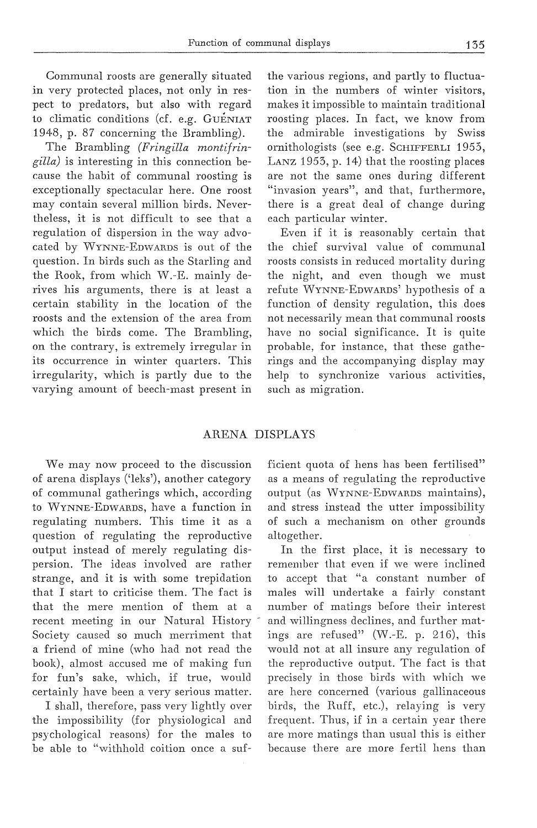Communal roosts are generally situated in very protected places, not only in respect to predators, but also with regard to climatic conditions (cf. e.g. GUENIAT 1948, p. 87 concerning the Brambling).

The Brambling *(Fringilla montifringilla)* is interesting in this connection because the habit of communal roosting is exceptionally spectacular here. One roost may contain several million hirds. Nevertheless, it is not difficult to see that a regulation of dispersion in the way advocated by WYNNE-EDWARDS is out of the question. In hirds such as the Starling and the Rook, from which W.-E. mainly derives his arguments, there is at least a certain stability in the location of the roosts and the extension of the area from which the hirds come. The Brambling, on the contrary, is extremely irregular in its occurrence in winter quarters. This irregularity, which is partly due to the varying amount of beech-mast present in the various regions, and partly to fluctuation in the numbers of winter visitors, makes it impossible to maintain traditional roosting places. In faet, we know from the admirable investigations by Swiss ornithologists (see e.g. SCHIFFERLI 1955, LANZ 1953, p. 14) that the roosting places are not the same ones during different "invasion years", and that, furthermore, there is a great deal of change during each particular winter.

Even if it is reasonably certain that the chief survival value of communal roosts consists in reduced mortality during the night, and even though we must refute VVYNNE-EDWARDS' hypothesis of a function of density regulation, this .does not necessarily mean that communal roosts have no social significance. It is quite probable, for instance, that these gatherings and the accompanying display may help to synchronize various activities, such as migration.

## ARENA DISPLAYS

We may now proceed to the discussion of arena displays ('leks'), another category of communal gatherings which, according to WYNNE-EDWARDS, have a function in regulating numbers. This time it as a question of regulating the reproductive output instead of merely regulating dispersion. The ideas involved are rather strange, and it is with some trepidation that I start to criticise them. The faet is that the mere mention of them at a recent meeting in our Natural History Society caused so much merriment that a friend of mine (who had not read the bo ok), almost accused me of making fun for fun's sake, which, if true, would certainly have been a very serious matter.

I shall, therefore, pass very lightly over the impossibility (for physiological and psychological reasons) for the males to be able to "withhold coition once a sufficient quota of hens has been fertilised" as a means of regulating the reproductive output (as VVYNNE-EDWARDS maintains), and stress instead the utter impossibility of such a mechanism on other grounds altogether.

In the first place, it is necessary to remember that even if we were inclined to accept that "a constant number of males will undertake a fairly constant nurnber of matings before their interest and willingness declines, and further matings are refused" (W.-E. p. 216), this would not at all insure any regulation of the reproductive output. The faet is that precisely in those birds with which we are here concerned (various gallinaceous hirds, the Ruff, etc.), relaying is very frequent. Thus, if in a certain year there are more matings than usual this is either because there are more fertil hens than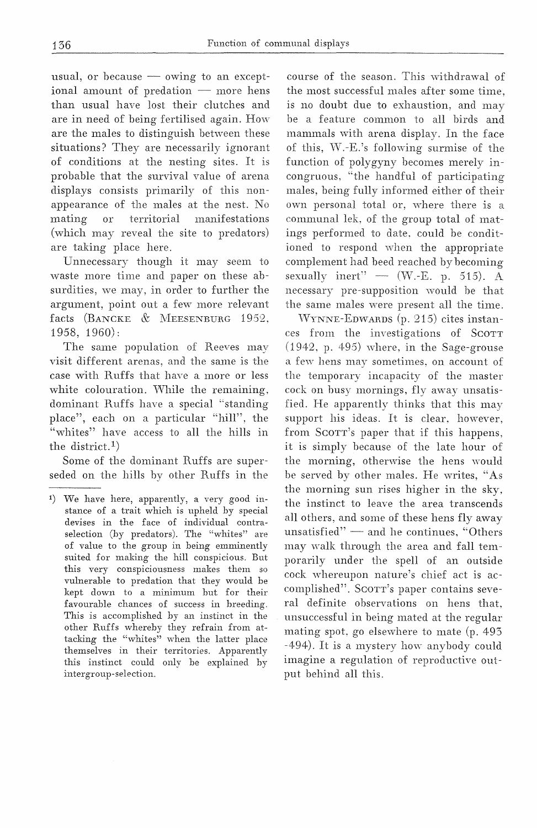usual, or because  $-\overline{\ }$  owing to an exceptional amount of predation  $-$  more hens than usual have lost their clutches and are in need of being fertilised again. How are the males to distinguish hetween these situations? They are necessarily ignorant of conditions at the nesting sites. prohable that the survival value of arena displays consists primarily of this nonappearance of the males at the nest. No mating or territorial manifestations (which may reveal the site to predators) are taking place here.

Unnecessary though it may seem to waste more time and paper on these absurdities, we may, in order to further the argument, point out a few more relevant facts (BANCKE & MEESENBURG 1952, 1958, 1960):

The same population of Reeves may visit different arenas, and the same is the case with Ruffs that have a more or less white colouration. While the remaining, dominant Ruffs have a special "standing place", each on a particular "hill", the "whites" have access to all the hills in the district.<sup>1</sup>)

Some of the dominant Ruffs are superseded on the hills bv other Ruffs in the

course of the season. This withdrawal of the most successful males after some is no doubt due to exhaustion, and may be a feature common to all birds and mammals with arena display. In the face of this, W.-E.'s following surmise of the function of polygyny becomes merely incongruous, "tbe handful of participating males, being fully informed either of their own personal total or, where there is communal lek, of the group total of matings performed to date. could be conditioned to respond when the appropriate complement had beed reached by becoming sexually inert"  $-$  (W.-E. p. 515). A necessary pre-supposition would be that the same males were present all the time.

VVYNNE-EDWARDS (p. 215) cites instances from the investigations of SCOTT  $(1942, p. 495)$  where, in the Sage-grouse a few hens may sometimes, on account of the temporary incapacity of the master cock on busy mornings, fly away unsatisfied. He apparently thinks that this may support his ideas. It is clear, however, from Scorr's paper that if this happens, it is simply because of the late hour of the morning, otherwise the hens would be served by other males. He writes, "As the morning sun rises higher in the sky, the instinct to leave the area transcends all others, and some of these hens fly away unsatisfied"  $-$  and he continues, "Others may walk through the area and fall temporarily under the spell of an outside cock whereupon nature's chief aet is accomplished". SoOTT's paper contains several definite observations on hens that, unsuccessful in being mated at the regular mating spot, go elsewhere to mate (p. 493 -494). It is a mystery how anybody could imagine a regulation of reproductive output behind all this.

<sup>1)</sup> We have here, apparently, a very good instance of a trait which is upheld by special devises in the face of individual contraselection (by predators). The "whites" are of value to the group in being emminently suited for making the hill conspicious. But this very conspiciousness makes them so vulnerable to predation that they would be kept down to a minimum but for their favourable chances of success in breeding. This is accomplished by an instinct in the other Ruffs whereby they refrain from attacking the "whites" when the latter place themselves in their territories. Apparently this instinct could only be explained by intergroup-selection.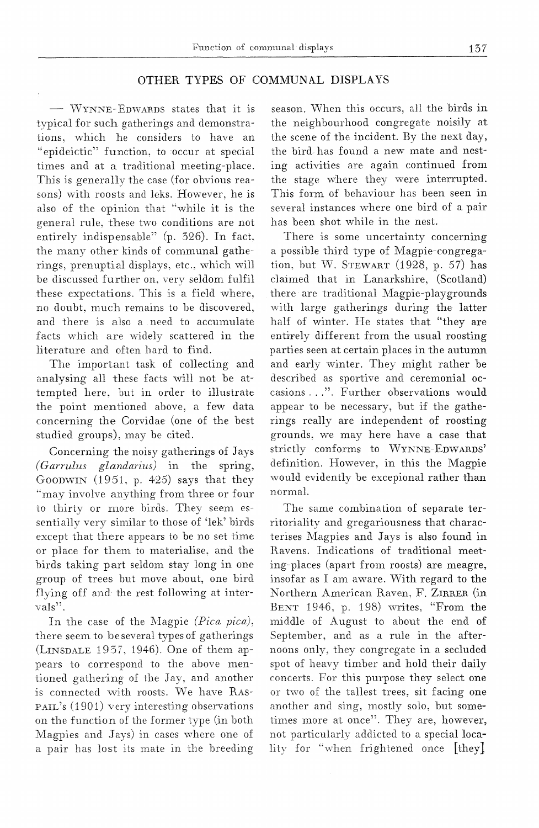# OTHER TYPES OF COMMUNAL DISPLAYS

VVYNNE-EDWARDS states that it is typical for such gatherings and demonstrations, which he considers to have an "epideictic" function. to occur at special times and at a traditional meeting-place. This is generally the case (for obvious reasons) with roosts and leks. However, he is also of the opinion that "while it is the general rule, these two conditions are not entirely indispensable" (p. 326). In fact, the many other kinds of communal gatherings, prenuptial displays, etc., which will be discussed further on. very seldom fulfil these expectations. This is a field where, no doubt, much remains to be discovered, and there is also a need to accumulate facts which are widely scattered in the literature and often hard to find.

The important task of collecting and analysing all these facts will not be attempted here, but in order to illustrate the point mentioned above, a few data concerning the Corvidae (one of the best studied groups), may be cited.

Concerning the noisy gatherings of Jays *(Garrulus glandarius)* in the spring, GooDWIN (1951. p. 425) says that they "may involve anything from three or four to thirty or more birds. They seem essentially very similar to those of 'lek' hirds except that there appears to be no set time or place for them to materialise, and the birds taking part seldom stay long in one group of trees but move about, one bird flying off and the rest following at intervals".

In the case of the Magpie *(Pica pica)*, there seem to be several types of gatherings (LINSDALE 1937, 1946). One of them appears to correspond to the above mentioned gathering of the Jay, and another is connected with roosts. We have RAS-PAIL's (1901) very interesting observations on the function of the former type (in both Magpies and Jays) in cases where one of a pair has lost its mate in the breeding

season. When this occurs, all the birds in the neighbourhood congregate noisily at the scene of the incident. By the next day, the bird has found a new mate and nesting activities are again continued from the stage where they were interrupted. This form of behaviour has been seen in several instances where one bird of a pair has been shot while in the nest.

There is some uncertainty concerning a possible third type of Magpie-congregation, but W. STEWART (1928, p. 57) has claimed that in Lanarkshire, (Scotland) there are traditional Magpie-playgrounds with large gatherings during the latter half of winter. He states that "they are entirely different from the usual roosting parties seen at certain places in the autumn and early winter. They might rather be described as sportive and ceremonial occasions ...". Further observations would appear to be necessary, but if the gatherings really are independent of roosting grounds, we may here have a case that strictly conforms to WYNNE-EDWARDS' definition. However, in this the Magpie would evidently be excepional rather than normal.

The same combination of separate territoriality and gregariousness that characterises Magpies and Jays is also found in Ravens. Indications of traditional meeting-places (apart from roosts) are meagre, insofar as I am aware. With regard to the Northern American Raven, F. ZIRRER (in BENT 1946, p. 198) writes, "From the middle of August to about the end of September. and as a rule in the afternoons only, they congregate in a secluded spot of heavy timber and hold their daily concerts. For this purpose they select one or two of the tallest trees, sit facing one another and sing, mostly solo, but sometimes more at once". They are, however, not particularly addicted to a special locality for "when frightened once [they]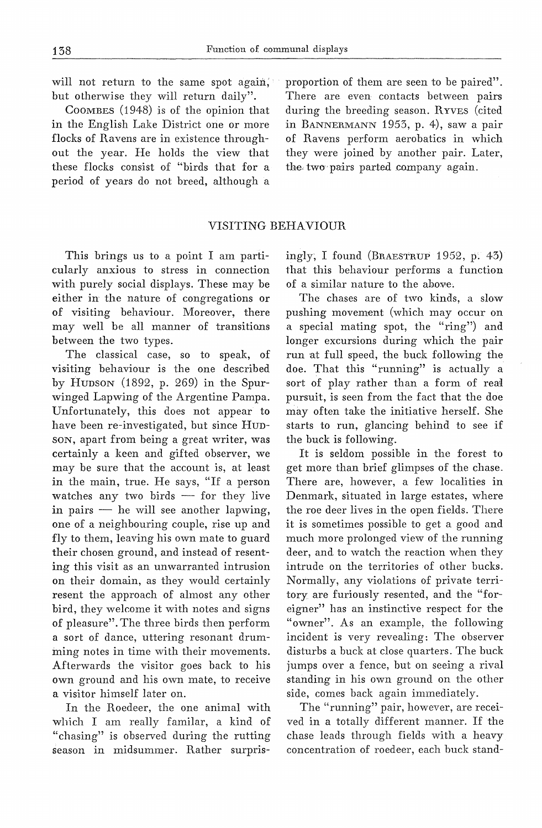will not return to the same spot again, but otherwise they will return daily".

CoOMBES (1948) is of the opinion that in the English Lake District one or more flocks of Ravens are in existence throughout the year. He holds the view that these flocks consist of "birds that for a period of years do not breed, although a

proportion of them are seen to be paired". There are even contacts between pairs during the breeding season. RYVES (cited in BANNERMANN 1953, p. 4), saw a pair of Ravens perform aerobatics in which they were joined by another pair. Later, the.two,pairs parted company again.

## VISITING BEHA VIOUR

This brings us to a point I am particularly anxious to stress in connection with purely social displays. These may be either in the nature of congregations or of visiting behaviour. Moreover, there may well be all manner of transitions between the two types.

The classical case, so to speak, of visiting behaviour is the one described by HUDSON (1892, p. 269) in the Spurwinged Lapwing of the Argentine Pampa. Unfortunately, this does not appear to have been re-investigated, but since Hun-SON, apart from being a great writer, was certainly a keen and gifted observer, we may be sure that the account is, at least in the main, true. He says, "If a person watches any two birds  $-$  for they live in pairs  $-$  he will see another lapwing, one of a neighbouring couple, rise up and fly to them, leaving his own mate to guard their chosen ground, and instead of resenting this visit as an unwarranted intrusion on their domain, as they would certainly resent the approach of almost any other bird, they welcome it with notes and signs of pleasure". The three birds then perform a sort of dance, uttering resonant drumining notes in time with their movements. Afterwards the visitor goes back to his own ground and his own mate, to receive a visitor himself later on.

In the Roedeer, the one animal with which I am really familar, a kind of "chasing" is observed during the rutting season in midsummer. Rather surprisingly, I found (BRAESTRUP 1952, p. 43) that this behaviour performs a function of a similar nature to the above.

The chases are of two kinds, a slow pushing movement (which may occur on a special mating spot, the "ring") and longer excursions during which the pair run at full speed, the buck following the doe. That this "running" is actually a sort of play rather than a form of real pursuit, is seen from the faet that the doe may often take the initiative herself. She starts to run, glancing behind to see if the buck is following.

It is seldom possible in the forest to get more than brief glimpses of the chase. There are, however, a few localities in Denmark, situated in large estates, where the roe deer lives in the open fields. There it is sometimes possible to get a good and much more prolonged view of the running deer, and to watch the reaction when they intrude on the territories of other bucks. Normally, any violations of private territory are furiously resented, and the "foreigner" has an instinctive respect for the "owner". As an example, the following incident is very revealing: The observer disturbs a buck at close quarters. The buck jumps over a fence, but on seeing a rival standing in his own ground on the other side, comes back again immediately.

The "running" pair, however, are received in a totally different manner. If the chase leads through fields with a heavy concentration of roedeer, each buck stand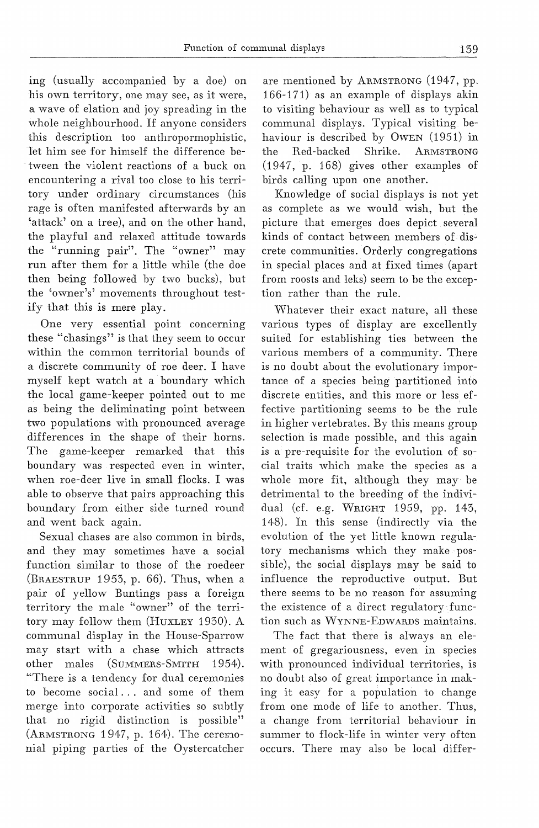ing (usually accompanied by a doe) on his own territory, one may see, as it were, a wave of elation and joy spreading in the whole neighbourhood. If anyone considers this description too anthropormophistic, let him see for himself the difference between the violent reactions of a buck on encountering a rival too close to his territory under ordinary circumstances (his rage is often manifested afterwards by an 'attack' on a tree), and on the other hand, the playful and relaxed attitude towards the "running pair". The "owner" may run after them for a little while (the doe then being followed by two bucks), but the 'owner's' movements throughout testify that this is mere play.

One very essential point concerning these "chasings" is that they seem to occur within the common territorial bounds of a discrete community of roe deer. I have myself kept watch at a boundary which the local game-keeper pointed out to me as being the deliminating point between two populations with pronounced average differences in the shape of their horns. The game-keeper remarked that this boundary was respected even in winter, when roe-deer live in small flocks. I was able to observe that pairs approaching this boundary from either side turned round and went back again.

Sexual chases are also common in hirds, and they may sometimes have a social function similar to those of the roedeer (BRAESTRUP 1953, p. 66). Thus, when a pair of yellow Buntings pass a foreign territory the male "owner" of the territory may follow them (HuxLEY 1930). A communal display in the House-Sparrow may start with a chase which attracts other males (SUMMERS-SMITH 1954). "There is a tendency for dual ceremonies to become social ... and some of them merge into corporate activities so subtly that no rigid distinction is possible" (ARMSTRONG 1947, p. 164). The ceremonial piping parties of the Oystercatcher

are mentioned by ARMSTRONG (1947, pp. 166-171) as an example of displays akin to visiting behaviour as well as to typical communal displays. Typical visiting behaviour is described by OwEN (1951) in<br>the Red-backed Shrike. ARMSTRONG the Red-backed Shrike. ARMSTRONG (1947, p. 168) gives other examples of birds calling upon one another.

Knowledge of social displays is not yet as complete as we would wish, but the picture that emerges does depict several kinds of contact between members of discrete communities. Orderly congregations in special places and at fixed times (apart from roosts and leks) seem to be the exception rather than the rule.

Whatever their exact nature, all these various types of display are excellently suited for establishing ties between the various members of a community. There is no doubt about the evolutionary importance of a species being partitioned into discrete entities, and this more or less effective partitioning seems to be the rule in higher vertebrates. By this means group selection is made possible, and this again is a pre-requisite for the evolution of social traits which make the species as a whole more fit, although they may be detrimental to the breeding of the individual (cf. e.g. WRIGHT 1959, pp. 143, 148). In this sense (indirectly via the evolution of the yet little known regulatory mechanisms which they make possible), the social displays may be said to influence the reproductive output. But there seems to be no reason for assuming the existence of a direct regulatory function such as WYNNE-EDWARDS maintains.

The faet that there is always an element of gregariousness, even in species with pronounced individual territories, is no doubt also of great importance in making it easy for a population to change from one mode of life to another. Thus, a change from territorial behaviour in summer to flock-life in winter very often occurs. There may also be local differ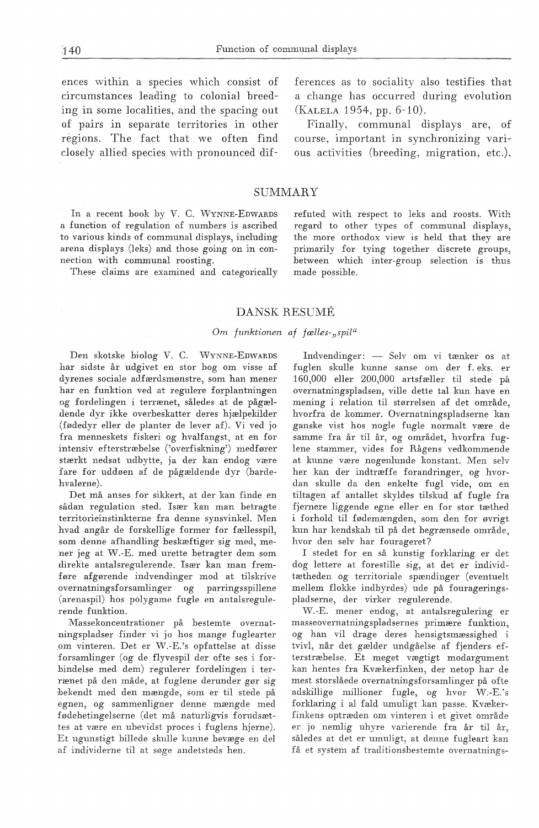ences within a species which consist of circurnstances leading to colonial breeding in some localities, and the spacing out of pairs in separate territories in other regions. The faet that we often find closely allied species with pronounced dif-

In a recent book by V. C. WYNNE-EDWARDS a funetion of regulation of numbers is ascribed to various kinds of communal displays, including arena. displays (leks) and those going on in connection with communal roosting.

These daims are examined and categorically

ferences as to sociality also testifies that a change has occurred during evolution (KALELA 1954, pp. 6-10).

Finally, communal displays are, of course, important in synchronizing various activities (breeding, migration, etc.).

## SUMMARY

refuted with respect to leks and roosts. With regard to other types of communal displays, the more orthodox view is held that they are primarily for tying together discrete groups, between which inter-group selection is thus made possible.

#### DANSK RESUME

#### *Om funktionen af fælles-;,spil"*

Den skotske biolog V. C. WYNNE-EDWARDS har sidste år udgivet en stor bog om visse af dyrenes sociale adfærdsmønstre, som han mener har en funktion ved at regulere forplantningen og fordelingen i terrænet, således at de pågældende dyr ikke overbeskatter deres hjælpekilder (fØdedyr eller de planter de lever af). Vi ved jo fra menneskets fiskeri og hvalfangst, at en for intensiv efterstræbelse ('overfiskning') medfører stærkt nedsat udbytte, ja der kan endog være fare for uddøen af de pågældende dyr (bardehvalerne).

Det må anses for sikkert, at der kan finde en sådan regulation sted. Især kan man betragte territorieinstinkterne fra denne synsvinkel. Men hvad angår de forskellige former for fællesspil, som denne afhandling beskæftiger sig med, mener jeg at W.-E. med urette betragter dem som direkte antalsregulerende. Især kan man fremføre afgørende indvendinger mod at tilskrive overnatningsforsamlinger og parringsspillene (arenaspil) hos polygame fugle en antalsregulerende funktion.

Massekoncentrationer på bestemte overnatningspladser finder vi jo hos mange fuglearter .om vinteren. Det er W.-E.'s opfattelse at disse ·forsamlinger (og de flyvespil der ofte ses i forbindelse med dem) regulerer fordelingen i terrænet på den måde, at fuglene derunder gør sig ·bekendt med den mængde, som er til stede på egnen, og sammenligner denne mængde med fødebetingelserne (det må naturligvis forudsættes at være en ubevidst proces i fuglens hjerne). Et ugunstigt billede skulle kunne bevæge en del af individerne til at søge andetsteds hen.

 $Indvendinger: - Selv om vi tænker os at$ fuglen skulle kunne sanse om der f.eks. er 160,000 eller 200,000 artsfæller til stede på overnatningspladsen, ville dette tal kun have en mening i relation til størrelsen af det område, hvorfra de kommer. Overnatningspladserne kan ganske vist hos nogle fugle normalt være de samme fra år til år, og området, hvorfra fuglene stammer, vides for Rågens vedkommende at kunne være nogenlunde konstant. Men selv her kan der indtræffe forandringer, og hvordan skulle da den enkelte fugl vide, om en tiltagen af antallet skyldes tilskud af fugle fra fjernere liggende egne eller en for stor tæthed i forhold til fødemængden, som den for øvrigt kun har kendskab til på det begrænsede område, hvor den selv har fourageret?

I stedet for en så kunstig forklaring er det dog lettere at forestille sig, at det er individtætheden og territoriale spændinger (eventuelt mellem flokke indbyrdes) ude på fourageringspladserne, der virker regulerende.

\iV.-E. mener endog, at antalsregulering er masseovernatningspladsernes primære funktion, og han vil drage deres hensigtsmæssighed tvivl, når det gælder undgåelse af fjenders efterstræbelse. Et meget vægtigt modargument kan hentes fra Kvækerfinken, der netop har de mest storslåede overnatningsforsamlinger på ofte adskillige millioner fugle, og hvor W.-E.'s forklaring i al fald umuligt kan passe. Kvækerfinkens optræden om vinteren i et givet område er jo nemlig uhyre varierende fra år til år, således at det er umuligt, at denne fugleart kan få et system af traditionsbestemte overnatnings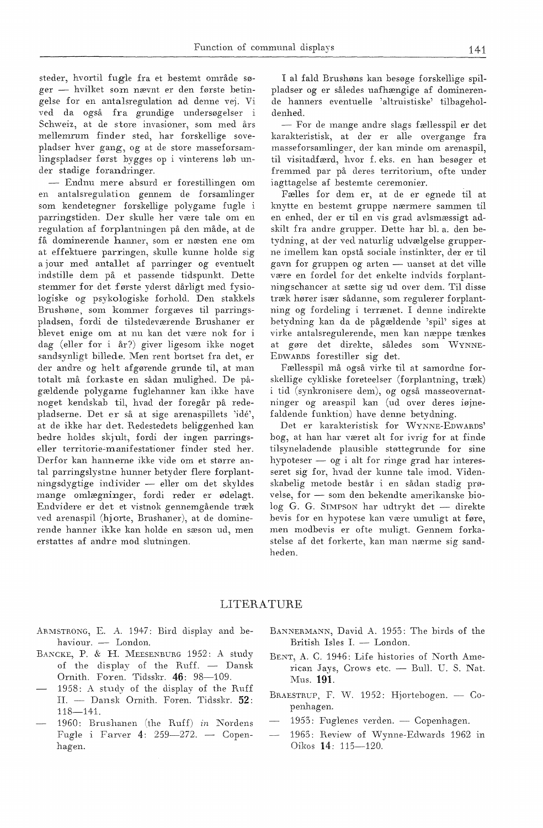steder, hvortil fugle fra et bestemt område søger - hvilket som nævnt er den første betingelse for en antalsregulation ad denne vej. Vi ved da også fra grundige undersøgelser i Schweiz, at de store invasioner, som med års mellemrum finder sted, har forskellige sovepladser hver gang, og at de store masseforsamlingspladser først bygges op i vinterens løb under stadige forandringer.

- Endnu mere absurd er forestillingen om en antalsregulation gennem de forsamlinger som kendetegner forskellige polygame fugle i parringstiden. Der skulle her være tale om en regulation af forplantningen på den måde, at de få dominerende hanner, som er næsten ene om at effektuere parringen, skulle kunne holde sig a jour med antallet af parringer og eventuelt indstille dem på et passende tidspunkt. Dette stemmer for det første yderst dårligt med fysiologiske og psykologiske forhold. Den stakkels Brushøne, som kommer forgæves til parringspladsen, fordi de tilstedeværende Brushaner er blevet enige om at nu kan det være nok for i dag (eller for i år?) giver ligesom ikke noget sandsynligt billede. Men rent bortset fra det, er der andre og helt afgørende grunde til, at man totalt må forkaste en sådan mulighed. De pågældende polygame fuglehanner kan ikke have noget kendskab til, hvad der foregår på redepladserne. Det er så at sige arenaspillets 'ide', at de ikke har det. Redestedets beliggenhed kan bedre holdes skjult, fordi der ingen parringseller territorie-manifestationer finder sted her. Derfor kan hannerne ikke vide om et større antal parringslystne hunner betyder flere forplantningsdygtige individer - eller om det skyldes mange omlægninger, fordi reder er ødelagt. Endvidere er det et vistnok gennemgående træk ved arenaspil (hjorte, Brushaner), at de dominerende hanner ikke kan holde en sæson ud, men erstattes af andre mod slutningen.

I al fald Brushøns kan besøge forskellige spilpladser og er således uafhængige af dominerende hanners eventuelle 'altruistiske' tilbageholdenhed.

- For de mange andre slags fællesspil er det karakteristisk, at der er alle overgange fra masseforsamlinger, der kan minde om arenaspil, til visitadfærd, hvor f. eks. en han besøger et fremmed par på deres territorium, ofte under iagttagelse af bestemte ceremonier.

Fælles for dem er, at de er egnede til at knytte en bestemt gruppe nærmere sammen til en enhed, der er til en vis grad avlsmæssigt adskilt fra andre grupper. Dette har bl. a. den betydning, at der vecl naturlig udvælgelse grupperne imellem kan opstå sociale instinkter, der er til gavn for gruppen og arten - uanset at det ville være en fordel for det enkelte indvids forplantningschancer at sætte sig ud over dem. Til disse træk hører især sådanne, som regulerer forplantning og fordeling i terrænet. I denne indirekte betydning kan da de pågældende 'spil' siges at virke antalsregulerende, men kan næppe tænkes at gøre det direkte, således som WYNNE-EDWARDS forestiller sig det.

Fællesspil må også virke til at samordne forskellige cykliske foreteelser (forplantning, træk) i tid (synkronisere dem), og også masseovernatninger og areaspil kan (ud over deres iøjnefaldende funktion) have denne betydning.

Det er karakteristisk for WYNNE-EDWARDS' bog, at han har været alt for ivrig for at finde tilsyneladende plausible støttegrunde for sine hypoteser  $-$  og i alt for ringe grad har interesseret sig for, hvad der kunne tale imod. Videnskabelig metode består i en sådan stadig prøvelse, for - som den bekendte amerikanske biolog G. G. SIMPSON har udtrykt det - direkte bevis for en hypotese kan være umuligt at føre, men modbevis er ofte muligt. Gennem forkastelse af det forkerte, kan man nærme sig sandheden.

#### LITERATURE

- ARMSTRONG, E. A. 1947: Bird display and behaviour. - London.
- BANCKE, P. & H. MEESENBURG 1952: A study of the display of the Ruff. - Dansk Ornith. Foren. Tidsskr. 46: 98-109.
- 1958: A study of the display of the Ruff II. - Dansk Ornith. Foren. Tidsskr. 52: 118-141.
- 1960: Brushanen (the Ruff) *in* Nordens Fugle i Farver 4:  $259-272$ . - Copenhagen.
- BANNERMANN, David A. 1953: The hirds of the British Isles I. - London.
- BEKT, A. C. 1946: Life histories of North American Jays, Crows etc. - Bull. U. S. Nat. Mus. 191.
- BRAESTRUP, F. W. 1952: Hjortebogen. Copenhagen.
- $1955$ : Fuglenes verden. Copenhagen.
- 1963: Review of Wynne-Edwards 1962 in Oikos 14: 115-120.